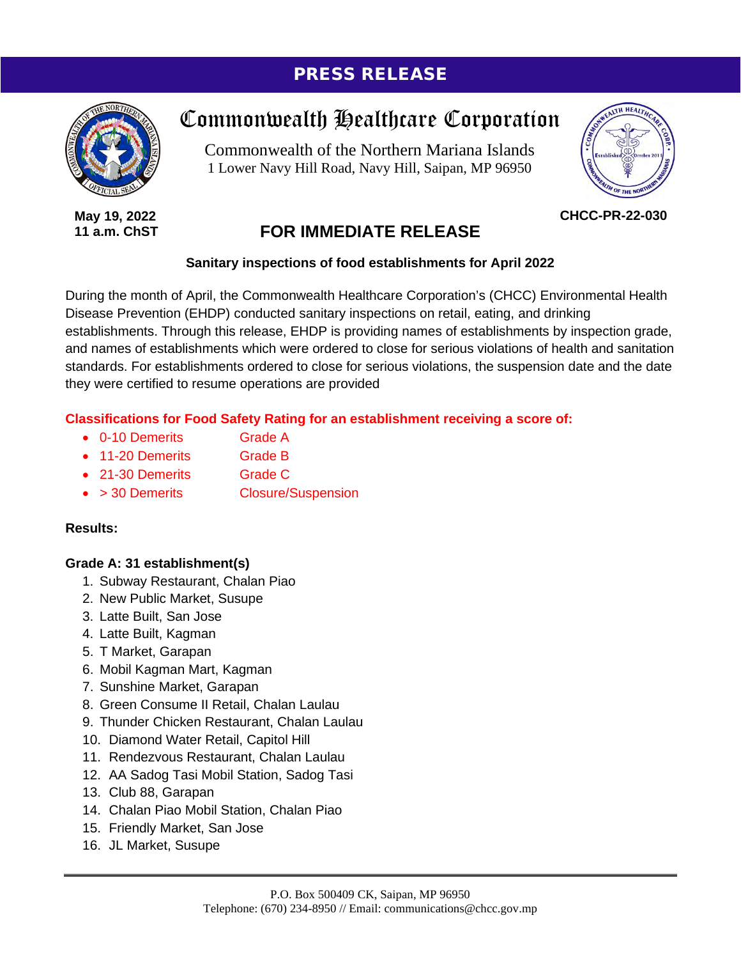### PRESS RELEASE



**May 19, 2022 11 a.m. ChST**

# Commonwealth Healthcare Corporation

Commonwealth of the Northern Mariana Islands 1 Lower Navy Hill Road, Navy Hill, Saipan, MP 96950



**CHCC-PR-22-030**

## **FOR IMMEDIATE RELEASE**

#### **Sanitary inspections of food establishments for April 2022**

During the month of April, the Commonwealth Healthcare Corporation's (CHCC) Environmental Health Disease Prevention (EHDP) conducted sanitary inspections on retail, eating, and drinking establishments. Through this release, EHDP is providing names of establishments by inspection grade, and names of establishments which were ordered to close for serious violations of health and sanitation standards. For establishments ordered to close for serious violations, the suspension date and the date they were certified to resume operations are provided

#### **Classifications for Food Safety Rating for an establishment receiving a score of:**

- 0-10 Demerits Grade A
- 11-20 Demerits Grade B
- 21-30 Demerits Grade C
- > 30 Demerits Closure/Suspension

#### **Results:**

#### **Grade A: 31 establishment(s)**

- 1. Subway Restaurant, Chalan Piao
- 2. New Public Market, Susupe
- 3. Latte Built, San Jose
- 4. Latte Built, Kagman
- 5. T Market, Garapan
- 6. Mobil Kagman Mart, Kagman
- 7. Sunshine Market, Garapan
- 8. Green Consume II Retail, Chalan Laulau
- 9. Thunder Chicken Restaurant, Chalan Laulau
- 10. Diamond Water Retail, Capitol Hill
- 11. Rendezvous Restaurant, Chalan Laulau
- 12. AA Sadog Tasi Mobil Station, Sadog Tasi
- 13. Club 88, Garapan
- 14. Chalan Piao Mobil Station, Chalan Piao
- 15. Friendly Market, San Jose
- 16. JL Market, Susupe